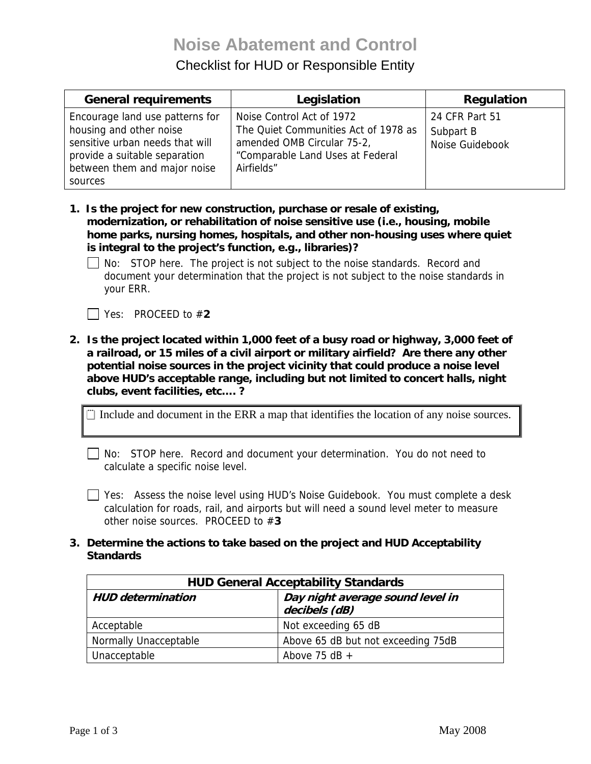# **Noise Abatement and Control**

## Checklist for HUD or Responsible Entity

| <b>General requirements</b>                                                                                                                                               | Legislation                                                                                                                                       | Regulation                                     |
|---------------------------------------------------------------------------------------------------------------------------------------------------------------------------|---------------------------------------------------------------------------------------------------------------------------------------------------|------------------------------------------------|
| Encourage land use patterns for<br>housing and other noise<br>sensitive urban needs that will<br>provide a suitable separation<br>between them and major noise<br>sources | Noise Control Act of 1972<br>The Quiet Communities Act of 1978 as<br>amended OMB Circular 75-2,<br>"Comparable Land Uses at Federal<br>Airfields" | 24 CFR Part 51<br>Subpart B<br>Noise Guidebook |

- **1. Is the project for new construction, purchase or resale of existing, modernization, or rehabilitation of noise sensitive use (i.e., housing, mobile home parks, nursing homes, hospitals, and other non-housing uses where quiet is integral to the project's function, e.g., libraries)?** 
	- $\Box$  No: STOP here. The project is not subject to the noise standards. Record and document your determination that the project is not subject to the noise standards in your ERR.

Yes: PROCEED to #**2** 

**2. Is the project located within 1,000 feet of a busy road or highway, 3,000 feet of a railroad, or 15 miles of a civil airport or military airfield? Are there any other potential noise sources in the project vicinity that could produce a noise level above HUD's acceptable range, including but not limited to concert halls, night clubs, event facilities, etc…. ?** 

 $\Box$  Include and document in the ERR a map that identifies the location of any noise sources.

No: STOP here. Record and document your determination. You do not need to calculate a specific noise level.

 Yes: Assess the noise level using HUD's Noise Guidebook. You must complete a desk calculation for roads, rail, and airports but will need a sound level meter to measure other noise sources. PROCEED to #**3** 

**3. Determine the actions to take based on the project and HUD Acceptability Standards** 

| <b>HUD General Acceptability Standards</b> |                                                   |  |
|--------------------------------------------|---------------------------------------------------|--|
| <b>HUD</b> determination                   | Day night average sound level in<br>decibels (dB) |  |
| Acceptable                                 | Not exceeding 65 dB                               |  |
| Normally Unacceptable                      | Above 65 dB but not exceeding 75dB                |  |
| Unacceptable                               | Above 75 dB $+$                                   |  |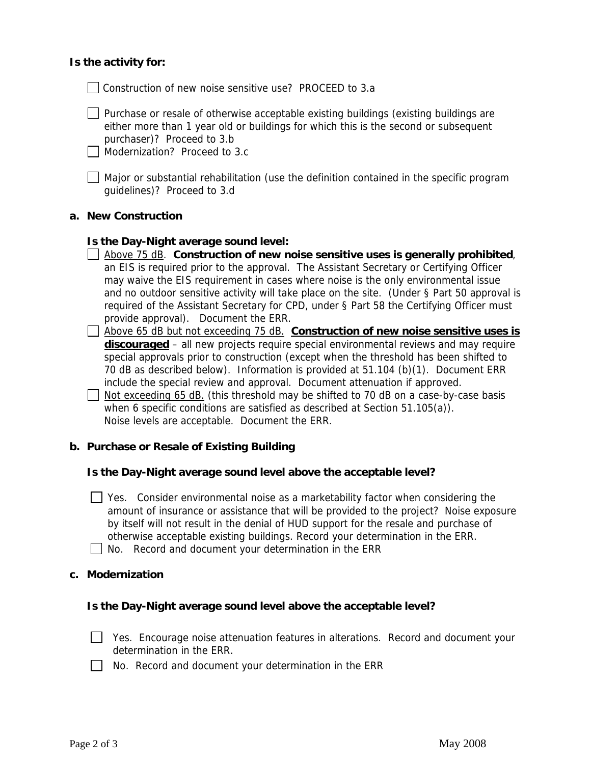#### **Is the activity for:**

Construction of new noise sensitive use? PROCEED to 3.a

 $\Box$  Purchase or resale of otherwise acceptable existing buildings (existing buildings are either more than 1 year old or buildings for which this is the second or subsequent purchaser)? Proceed to 3.b

Modernization? Proceed to 3.c

Major or substantial rehabilitation (use the definition contained in the specific program guidelines)? Proceed to 3.d

#### **a. New Construction**

#### **Is the Day-Night average sound level:**

- Above 75 dB. **Construction of new noise sensitive uses is generally prohibited**, an EIS is required prior to the approval. The Assistant Secretary or Certifying Officer may waive the EIS requirement in cases where noise is the only environmental issue and no outdoor sensitive activity will take place on the site. (Under § Part 50 approval is required of the Assistant Secretary for CPD, under § Part 58 the Certifying Officer must provide approval). Document the ERR.
- Above 65 dB but not exceeding 75 dB. **Construction of new noise sensitive uses is discouraged** – all new projects require special environmental reviews and may require special approvals prior to construction (except when the threshold has been shifted to 70 dB as described below). Information is provided at 51.104 (b)(1). Document ERR include the special review and approval. Document attenuation if approved.
- $\Box$  Not exceeding 65 dB. (this threshold may be shifted to 70 dB on a case-by-case basis when 6 specific conditions are satisfied as described at Section 51.105(a)). Noise levels are acceptable. Document the ERR.

#### **b. Purchase or Resale of Existing Building**

#### **Is the Day-Night average sound level above the acceptable level?**

 $\Box$  Yes. Consider environmental noise as a marketability factor when considering the amount of insurance or assistance that will be provided to the project?Noise exposure by itself will not result in the denial of HUD support for the resale and purchase of otherwise acceptable existing buildings. Record your determination in the ERR.

No. Record and document your determination in the ERR

#### **c. Modernization**

#### **Is the Day-Night average sound level above the acceptable level?**

- Yes. Encourage noise attenuation features in alterations. Record and document your determination in the ERR.
- No. Record and document your determination in the ERR